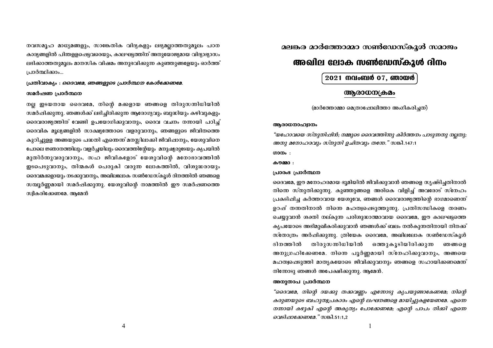നവസമൂഹ മാധ്യമങ്ങളും, സാങ്കേതിക വിദ്യകളും ലഭ്യമല്ലാത്തതുമൂലം പഠന കാര്യങ്ങളിൽ പിന്തള്ളപ്പെട്ടവരെയും, കാലഘട്ടത്തിന് അനുയോജ്യമായ വിദ്യാഭ്യാസം ലഭിക്കാത്തതുമൂലം മാനസിക വിഷമം അനുഭവിക്കുന്ന കുഞ്ഞുങ്ങളേയും ഓർത്ത് പ്രാർത്ഥിക്കാം...

പ്രതിവാക്യം : ദൈവമേ, ഞങ്ങളുടെ പ്രാർത്ഥന കേൾക്കേണമേ.

### സമർഷണ പ്രാർത്ഥന

നല്ല ഇടയനായ ദൈവമേ, നിന്റെ മക്കളായ ഞങ്ങളെ തിരുസന്നിധിയിൽ സമർഷിക്കുന്നു. ഞങ്ങൾക്ക് ലഭിച്ചിരിക്കുന്ന ആരോഗ്യവും ബുദ്ധിയും കഴിവുകളും ദൈവരാജ്യത്തിന് വേണ്ടി ഉപയോഗിക്കുവാനും, ദൈവ വചനം നന്നായി പഠിച്ച് ദൈവിക മൂല്യങ്ങളിൽ സാക്ഷ്യത്തോടെ വളരുവാനും, ഞങ്ങളുടെ ജീവിതത്തെ കുറിച്ചുള്ള അങ്ങയുടെ പദ്ധതി എതെന്ന് മനസ്സിലാക്കി ജീവിഷാനും, യേശുവിനെ പോലെ ജ്ഞാനത്തിലും വളർച്ചയിലും ദൈവത്തിന്റേയും മനുഷ്യരുടേയും കൃപയിൽ മുതിർന്നുവരുവാനും, സഹ ജീവികളോട് യേശുവിന്റെ മനോഭാവത്തിൽ ഇടപെടുവാനും, തിന്മകൾ പെരുകി വരുന്ന ലോകത്തിൽ, വിശുദ്ധരായും ദൈവമക്കളായും നടക്കുവാനും, അഖിലലോക സൺഡേസ്കൂൾ ദിനത്തിൽ ഞങ്ങളെ സമ്പൂർണ്ണമായി സമർഷിക്കുന്നു. യേശുവിന്റെ നാമത്തിൽ ഈ സമർഷണത്തെ സ്വീകരിക്കേണമേ, ആമേൻ

മലങ്കര മാർത്തോമ്മാ സൺഡേസ്കൂൾ സമാജം

# അഖില ലോക സൺഡേസ്കൂൾ ദിനം

2021 നവംബർ 07, ഞായർ

## ആരാധന(കമം

(മാർത്തോമ്മാ മെത്രാഷോലീത്താ അംഗീകരിച്ചത്)

#### അരാധനാഹ്വാനം

"യഹോവയെ സ്തുതിഷിൻ: നമ്മുടെ ദൈവത്തിന്നു കീർത്തനം പാടുന്നതു നലതു: അതു മനോഹരവും സ്തുതി ഉചിതവും തന്നേ." സങ്കീ.147:1

ഗാനം:

### കനമ്മാ -

### പ്രാരംഭ പ്രാർത്ഥന

ദൈവമേ, ഈ മനോഹരമായ ഭൂമിയിൽ ജീവിക്കുവാൻ ഞങ്ങളെ സൃഷ്ടിച്ചതിനാൽ നിന്നെ സ്തുതിക്കുന്നു. കുഞ്ഞുങ്ങളെ അരികെ വിളിച്ച് അവരോട് സ്നേഹം പ്രകടിഷിച്ച കർത്താവായ യേശുവേ, ഞങ്ങൾ ദൈവരാജ്യത്തിന്റെ ഭാഗമാണെന്ന് ഉറഷ് തന്നതിനാൽ നിന്നെ മഹത്വപ്പെടുത്തുന്നു. പ്രതിസന്ധികളെ തരണം ചെയ്യുവാൻ ശക്തി നല്കുന്ന പരിശുദ്ധാത്മാവായ ദൈവമേ, ഈ കാലഘട്ടത്തെ കൃപയോടെ അഭിമുഖീകരിക്കുവാൻ ഞങ്ങൾക്ക് ബലം നൽകുന്നതിനായി നിനക്ക് സ്തോത്രം അർഷിക്കുന്നു. ത്രിയേക ദൈവമേ, അഖിലലോക സൺഡേസ്കൂൾ ദിനത്തിൽ തിരുസന്നിധിയിൽ ഒത്തുകൂടിയിരിക്കുന്ന ഞങ്ങളെ അനുഗ്രഹിക്കേണമേ. നിനെ പൂർണ്ണമായി സ്നേഹിക്കുവാനും, അങ്ങയെ മഹത്വപ്പെടുത്തി മാതൃകയോടെ ജീവിക്കുവാനും ഞങ്ങളെ സഹായിക്കണമെന്ന് നിനോടു ഞങ്ങൾ അപേക്ഷിക്കുന്നു. ആമേൻ.

### അനുതാപ പ്രാർത്ഥന

"ദൈവമേ, നിന്റെ ദയക്കു തക്കവണ്ണം എന്നോടു കൃപയുണ്ടാകേണമേ; നിന്റെ കരുണയുടെ ബഹുത്വപ്രകാരം എന്റെ ലംഘനങ്ങളെ മായിച്ചുകളയേണമേ. എന്നെ നന്നായി കഴുകി എന്റെ അകൃത്യം പോക്കേണമേ; എന്റെ പാപം നീക്കി എന്നെ *വെടിഷാക്കേണമേ.*" സങ്കീ.51:1,2